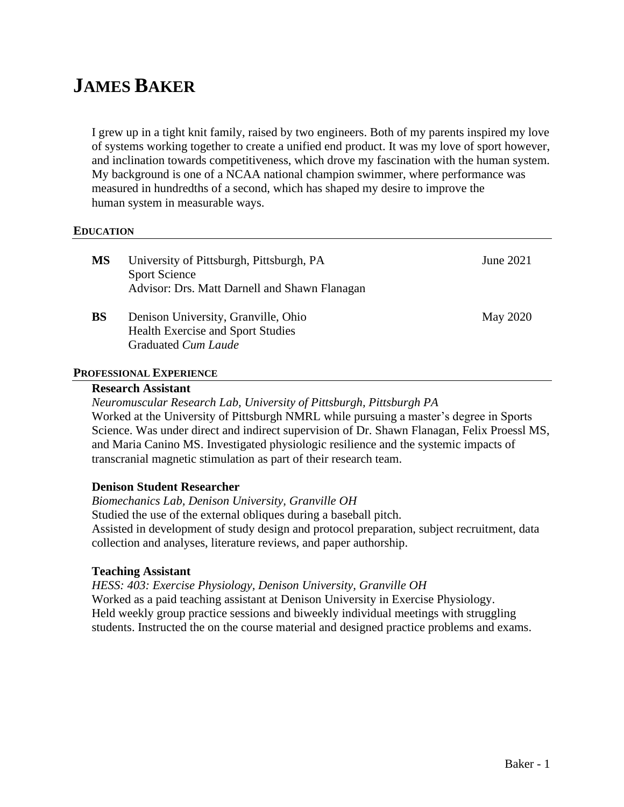# **JAMES BAKER**

I grew up in a tight knit family, raised by two engineers. Both of my parents inspired my love of systems working together to create a unified end product. It was my love of sport however, and inclination towards competitiveness, which drove my fascination with the human system. My background is one of a NCAA national champion swimmer, where performance was measured in hundredths of a second, which has shaped my desire to improve the human system in measurable ways.

#### **EDUCATION**

| <b>MS</b> | University of Pittsburgh, Pittsburgh, PA<br><b>Sport Science</b><br>Advisor: Drs. Matt Darnell and Shawn Flanagan | June 2021       |
|-----------|-------------------------------------------------------------------------------------------------------------------|-----------------|
| <b>BS</b> | Denison University, Granville, Ohio<br><b>Health Exercise and Sport Studies</b><br>Graduated Cum Laude            | <b>May 2020</b> |

# **PROFESSIONAL EXPERIENCE**

## **Research Assistant**

*Neuromuscular Research Lab, University of Pittsburgh, Pittsburgh PA* Worked at the University of Pittsburgh NMRL while pursuing a master's degree in Sports Science. Was under direct and indirect supervision of Dr. Shawn Flanagan, Felix Proessl MS, and Maria Canino MS. Investigated physiologic resilience and the systemic impacts of transcranial magnetic stimulation as part of their research team.

## **Denison Student Researcher**

*Biomechanics Lab, Denison University, Granville OH*

Studied the use of the external obliques during a baseball pitch.

Assisted in development of study design and protocol preparation, subject recruitment, data collection and analyses, literature reviews, and paper authorship.

#### **Teaching Assistant**

*HESS: 403: Exercise Physiology, Denison University, Granville OH* Worked as a paid teaching assistant at Denison University in Exercise Physiology. Held weekly group practice sessions and biweekly individual meetings with struggling students. Instructed the on the course material and designed practice problems and exams.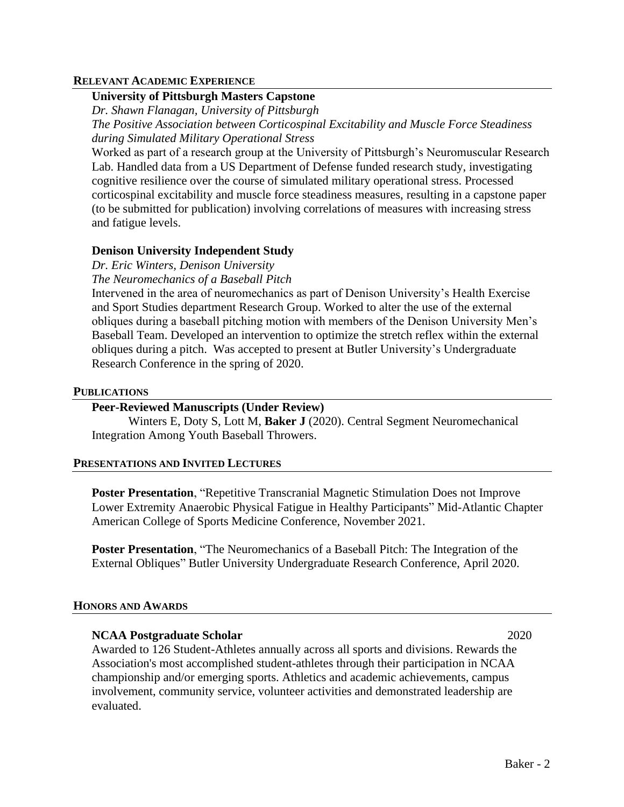#### **RELEVANT ACADEMIC EXPERIENCE**

# **University of Pittsburgh Masters Capstone**

*Dr. Shawn Flanagan, University of Pittsburgh*

*The Positive Association between Corticospinal Excitability and Muscle Force Steadiness during Simulated Military Operational Stress*

Worked as part of a research group at the University of Pittsburgh's Neuromuscular Research Lab. Handled data from a US Department of Defense funded research study, investigating cognitive resilience over the course of simulated military operational stress. Processed corticospinal excitability and muscle force steadiness measures, resulting in a capstone paper (to be submitted for publication) involving correlations of measures with increasing stress and fatigue levels.

# **Denison University Independent Study**

*Dr. Eric Winters, Denison University The Neuromechanics of a Baseball Pitch*

Intervened in the area of neuromechanics as part of Denison University's Health Exercise and Sport Studies department Research Group. Worked to alter the use of the external obliques during a baseball pitching motion with members of the Denison University Men's Baseball Team. Developed an intervention to optimize the stretch reflex within the external obliques during a pitch. Was accepted to present at Butler University's Undergraduate Research Conference in the spring of 2020.

#### **PUBLICATIONS**

## **Peer-Reviewed Manuscripts (Under Review)**

Winters E, Doty S, Lott M, **Baker J** (2020). Central Segment Neuromechanical Integration Among Youth Baseball Throwers.

#### **PRESENTATIONS AND INVITED LECTURES**

**Poster Presentation**, "Repetitive Transcranial Magnetic Stimulation Does not Improve Lower Extremity Anaerobic Physical Fatigue in Healthy Participants" Mid-Atlantic Chapter American College of Sports Medicine Conference, November 2021.

**Poster Presentation**, "The Neuromechanics of a Baseball Pitch: The Integration of the External Obliques" Butler University Undergraduate Research Conference, April 2020.

## **HONORS AND AWARDS**

## **NCAA Postgraduate Scholar** 2020

Awarded to 126 Student-Athletes annually across all sports and divisions. Rewards the Association's most accomplished student-athletes through their participation in NCAA championship and/or emerging sports. Athletics and academic achievements, campus involvement, community service, volunteer activities and demonstrated leadership are evaluated.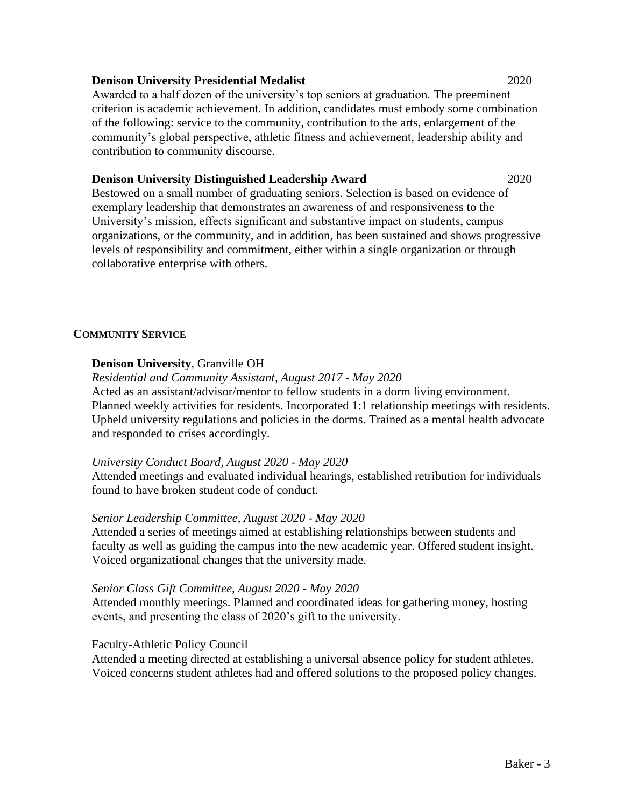#### **Denison University Presidential Medalist** 2020

Awarded to a half dozen of the university's top seniors at graduation. The preeminent criterion is academic achievement. In addition, candidates must embody some combination of the following: service to the community, contribution to the arts, enlargement of the community's global perspective, athletic fitness and achievement, leadership ability and contribution to community discourse.

#### **Denison University Distinguished Leadership Award** 2020

Bestowed on a small number of graduating seniors. Selection is based on evidence of exemplary leadership that demonstrates an awareness of and responsiveness to the University's mission, effects significant and substantive impact on students, campus organizations, or the community, and in addition, has been sustained and shows progressive levels of responsibility and commitment, either within a single organization or through collaborative enterprise with others.

#### **COMMUNITY SERVICE**

## **Denison University**, Granville OH

*Residential and Community Assistant, August 2017 - May 2020* Acted as an assistant/advisor/mentor to fellow students in a dorm living environment. Planned weekly activities for residents. Incorporated 1:1 relationship meetings with residents. Upheld university regulations and policies in the dorms. Trained as a mental health advocate and responded to crises accordingly.

## *University Conduct Board, August 2020 - May 2020*

Attended meetings and evaluated individual hearings, established retribution for individuals found to have broken student code of conduct.

## *Senior Leadership Committee, August 2020 - May 2020*

Attended a series of meetings aimed at establishing relationships between students and faculty as well as guiding the campus into the new academic year. Offered student insight. Voiced organizational changes that the university made.

## *Senior Class Gift Committee, August 2020 - May 2020*

Attended monthly meetings. Planned and coordinated ideas for gathering money, hosting events, and presenting the class of 2020's gift to the university.

## Faculty-Athletic Policy Council

Attended a meeting directed at establishing a universal absence policy for student athletes. Voiced concerns student athletes had and offered solutions to the proposed policy changes.